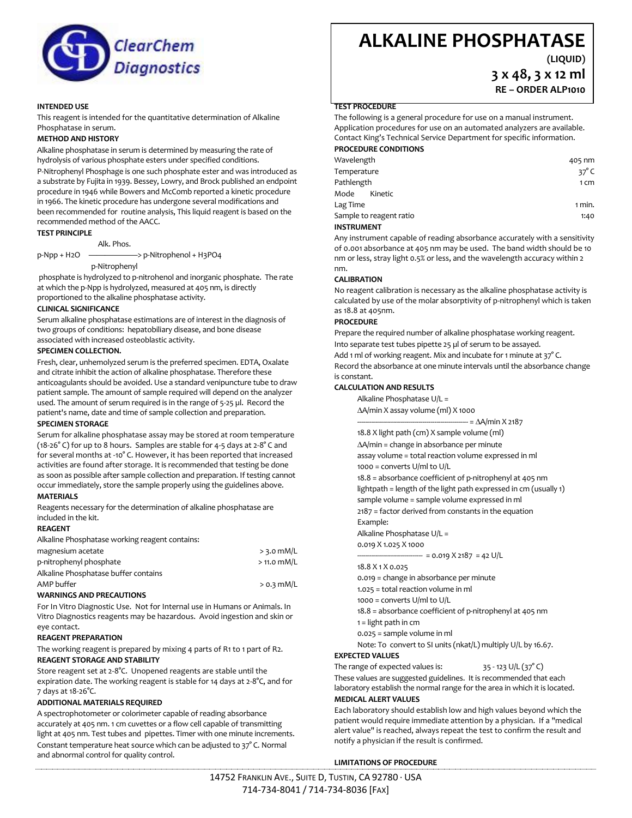

# **INTENDED USE**

This reagent is intended for the quantitative determination of Alkaline Phosphatase in serum.

### **METHOD AND HISTORY**

Alkaline phosphatase in serum is determined by measuring the rate of hydrolysis of various phosphate esters under specified conditions.

P-Nitrophenyl Phosphage is one such phosphate ester and was introduced as a substrate by Fujita in 1939. Bessey, Lowry, and Brock published an endpoint procedure in 1946 while Bowers and McComb reported a kinetic procedure in 1966. The kinetic procedure has undergone several modifications and been recommended for routine analysis, This liquid reagent is based on the recommended method of the AACC.

# **TEST PRINCIPLE**

Alk. Phos.

p-Npp + H2O ——————> p-Nitrophenol + H3PO4

### p-Nitrophenyl

phosphate is hydrolyzed to p-nitrohenol and inorganic phosphate. The rate at which the p-Npp is hydrolyzed, measured at 405 nm, is directly proportioned to the alkaline phosphatase activity.

### **CLINICAL SIGNIFICANCE**

Serum alkaline phosphatase estimations are of interest in the diagnosis of two groups of conditions: hepatobiliary disease, and bone disease associated with increased osteoblastic activity.

### **SPECIMEN COLLECTION.**

Fresh, clear, unhemolyzed serum is the preferred specimen. EDTA, Oxalate and citrate inhibit the action of alkaline phosphatase. Therefore these anticoagulants should be avoided. Use a standard venipuncture tube to draw patient sample. The amount of sample required will depend on the analyzer used. The amount of serum required is in the range of 5-25 µl. Record the patient's name, date and time of sample collection and preparation.

### **SPECIMEN STORAGE**

Serum for alkaline phosphatase assay may be stored at room temperature (18-26° C) for up to 8 hours. Samples are stable for 4-5 days at 2-8° C and for several months at -10° C. However, it has been reported that increased activities are found after storage. It is recommended that testing be done as soon as possible after sample collection and preparation. If testing cannot occur immediately, store the sample properly using the guidelines above.

# **MATERIALS**

Reagents necessary for the determination of alkaline phosphatase are included in the kit.

### **REAGENT**

Alkaline Phosphatase working reagent contains:

| magnesium acetate                       | $>$ 3.0 mM/L  |
|-----------------------------------------|---------------|
| p-nitrophenyl phosphate                 | $>$ 11.0 mM/L |
| Alkaline Phosphatase buffer contains    |               |
| AMP buffer                              | $>$ 0.3 mM/L  |
| <b><i>MARNINGS AND PRECALITIONS</i></b> |               |

### **WARNINGS AND PRECAUTIONS**

For In Vitro Diagnostic Use. Not for Internal use in Humans or Animals. In Vitro Diagnostics reagents may be hazardous. Avoid ingestion and skin or eye contact.

# **REAGENT PREPARATION**

The working reagent is prepared by mixing 4 parts of R1 to 1 part of R2. **REAGENT STORAGE AND STABILITY**

# Store reagent set at 2-8°C. Unopened reagents are stable until the expiration date. The working reagent is stable for 14 days at 2-8°C, and for 7 days at 18-26°C.

# **ADDITIONAL MATERIALS REQUIRED**

A spectrophotometer or colorimeter capable of reading absorbance accurately at 405 nm. 1 cm cuvettes or a flow cell capable of transmitting light at 405 nm. Test tubes and pipettes. Timer with one minute increments. Constant temperature heat source which can be adjusted to 37° C. Normal and abnormal control for quality control.

# **ALKALINE PHOSPHATASE**

**(LIQUID)**

**3 x 48, 3 x 12 ml RE – ORDER ALP1010**

### **TEST PROCEDURE**

The following is a general procedure for use on a manual instrument. Application procedures for use on an automated analyzers are available. Contact King's Technical Service Department for specific information. **PROCEDURE CONDITIONS**

Wavelength **405 nm** Temperature  $37^{\circ}$  C Pathlength 1 cm Mode Kinetic Lag Time 1 min. Sample to reagent ratio 1:40 **INSTRUMENT**

Any instrument capable of reading absorbance accurately with a sensitivity of 0.001 absorbance at 405 nm may be used. The band width should be 10 nm or less, stray light 0.5% or less, and the wavelength accuracy within 2 nm.

### **CALIBRATION**

No reagent calibration is necessary as the alkaline phosphatase activity is calculated by use of the molar absorptivity of p-nitrophenyl which is taken as 18.8 at 405nm.

# **PROCEDURE**

Prepare the required number of alkaline phosphatase working reagent. Into separate test tubes pipette 25 µl of serum to be assayed. Add 1 ml of working reagent. Mix and incubate for 1 minute at 37°C. Record the absorbance at one minute intervals until the absorbance change is constant.

### **CALCULATION AND RESULTS**

Alkaline Phosphatase U/L = A/min X assay volume (ml) X 1000

 $=\Delta A/min X 2187$ 

18.8 X light path (cm) X sample volume (ml)

A/min = change in absorbance per minute assay volume = total reaction volume expressed in ml 1000 = converts U/ml to U/L 18.8 = absorbance coefficient of p-nitrophenyl at 405 nm lightpath = length of the light path expressed in cm (usually 1) sample volume = sample volume expressed in ml 2187 = factor derived from constants in the equation Example:

Alkaline Phosphatase U/L =

0.019 X 1.025 X 1000

 $- = 0.019 X 2187 = 42 U/L$ 

18.8 X 1 X 0.025

0.019 = change in absorbance per minute

1.025 = total reaction volume in ml

1000 = converts U/ml to U/L

18.8 = absorbance coefficient of p-nitrophenyl at 405 nm

1 = light path in cm

0.025 = sample volume in ml

Note: To convert to SI units (nkat/L) multiply U/L by 16.67.

### **EXPECTED VALUES**

The range of expected values is:  $35 - 123 \text{ U/L} (37^{\circ} \text{C})$ 

These values are suggested guidelines. It is recommended that each laboratory establish the normal range for the area in which it is located. **MEDICAL ALERT VALUES**

Each laboratory should establish low and high values beyond which the patient would require immediate attention by a physician. If a "medical alert value" is reached, always repeat the test to confirm the result and notify a physician if the result is confirmed.

# **LIMITATIONS OF PROCEDURE**